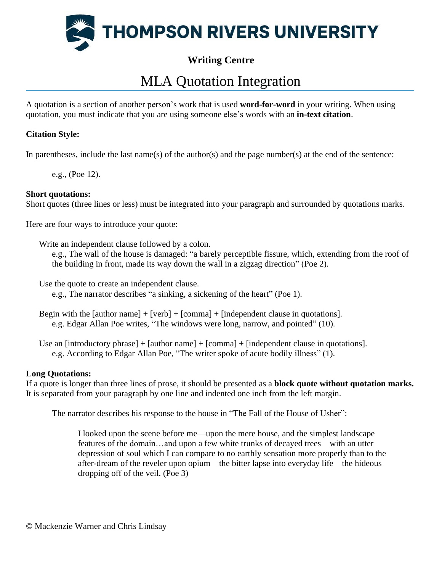

## **Writing Centre**

## MLA Quotation Integration

A quotation is a section of another person's work that is used **word-for-word** in your writing. When using quotation, you must indicate that you are using someone else's words with an **in-text citation**.

## **Citation Style:**

In parentheses, include the last name(s) of the author(s) and the page number(s) at the end of the sentence:

e.g., (Poe 12).

## **Short quotations:**

Short quotes (three lines or less) must be integrated into your paragraph and surrounded by quotations marks.

Here are four ways to introduce your quote:

Write an independent clause followed by a colon.

e.g., The wall of the house is damaged: "a barely perceptible fissure, which, extending from the roof of the building in front, made its way down the wall in a zigzag direction" (Poe 2).

Use the quote to create an independent clause.

e.g., The narrator describes "a sinking, a sickening of the heart" (Poe 1).

Begin with the [author name] + [verb] + [comma] + [independent clause in quotations]. e.g. Edgar Allan Poe writes, "The windows were long, narrow, and pointed" (10).

Use an [introductory phrase] + [author name] + [comma] + [independent clause in quotations]. e.g. According to Edgar Allan Poe, "The writer spoke of acute bodily illness" (1).

## **Long Quotations:**

If a quote is longer than three lines of prose, it should be presented as a **block quote without quotation marks.** It is separated from your paragraph by one line and indented one inch from the left margin.

The narrator describes his response to the house in "The Fall of the House of Usher":

I looked upon the scene before me—upon the mere house, and the simplest landscape features of the domain…and upon a few white trunks of decayed trees—with an utter depression of soul which I can compare to no earthly sensation more properly than to the after-dream of the reveler upon opium—the bitter lapse into everyday life—the hideous dropping off of the veil. (Poe 3)